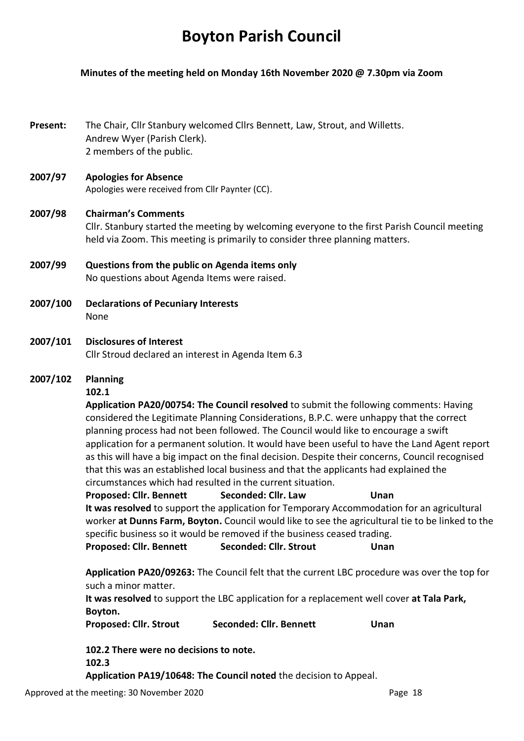# **Boyton Parish Council**

#### **Minutes of the meeting held on Monday 16th November 2020 @ 7.30pm via Zoom**

**Present:** The Chair, Cllr Stanbury welcomed Cllrs Bennett, Law, Strout, and Willetts. Andrew Wyer (Parish Clerk). 2 members of the public.

## **2007/97 Apologies for Absence** Apologies were received from Cllr Paynter (CC).

## **2007/98 Chairman's Comments** Cllr. Stanbury started the meeting by welcoming everyone to the first Parish Council meeting held via Zoom. This meeting is primarily to consider three planning matters.

- **2007/99 Questions from the public on Agenda items only** No questions about Agenda Items were raised.
- **2007/100 Declarations of Pecuniary Interests** None
- **2007/101 Disclosures of Interest**  Cllr Stroud declared an interest in Agenda Item 6.3

## **2007/102 Planning**

## **102.1**

**Application PA20/00754: The Council resolved** to submit the following comments: Having considered the Legitimate Planning Considerations, B.P.C. were unhappy that the correct planning process had not been followed. The Council would like to encourage a swift application for a permanent solution. It would have been useful to have the Land Agent report as this will have a big impact on the final decision. Despite their concerns, Council recognised that this was an established local business and that the applicants had explained the circumstances which had resulted in the current situation.

**Proposed: Cllr. Bennett Seconded: Cllr. Law Unan It was resolved** to support the application for Temporary Accommodation for an agricultural worker **at Dunns Farm, Boyton.** Council would like to see the agricultural tie to be linked to the specific business so it would be removed if the business ceased trading. Proposed: Cllr. Bennett Seconded: Cllr. Strout Unan

**Application PA20/09263:** The Council felt that the current LBC procedure was over the top for such a minor matter.

**It was resolved** to support the LBC application for a replacement well cover **at Tala Park, Boyton.** 

**Proposed: Cllr. Strout Seconded: Cllr. Bennett Unan**

**102.2 There were no decisions to note. 102.3 Application PA19/10648: The Council noted** the decision to Appeal.